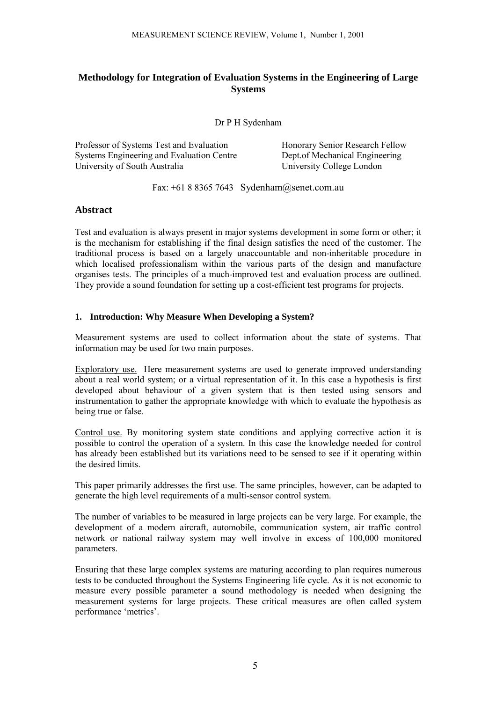# **Methodology for Integration of Evaluation Systems in the Engineering of Large Systems**

Dr P H Sydenham

Professor of Systems Test and Evaluation Systems Engineering and Evaluation Centre University of South Australia

 Honorary Senior Research Fellow Dept.of Mechanical Engineering University College London

Fax: +61 8 8365 7643 Sydenham@senet.com.au

### **Abstract**

Test and evaluation is always present in major systems development in some form or other; it is the mechanism for establishing if the final design satisfies the need of the customer. The traditional process is based on a largely unaccountable and non-inheritable procedure in which localised professionalism within the various parts of the design and manufacture organises tests. The principles of a much-improved test and evaluation process are outlined. They provide a sound foundation for setting up a cost-efficient test programs for projects.

### **1. Introduction: Why Measure When Developing a System?**

Measurement systems are used to collect information about the state of systems. That information may be used for two main purposes.

Exploratory use. Here measurement systems are used to generate improved understanding about a real world system; or a virtual representation of it. In this case a hypothesis is first developed about behaviour of a given system that is then tested using sensors and instrumentation to gather the appropriate knowledge with which to evaluate the hypothesis as being true or false.

Control use. By monitoring system state conditions and applying corrective action it is possible to control the operation of a system. In this case the knowledge needed for control has already been established but its variations need to be sensed to see if it operating within the desired limits.

This paper primarily addresses the first use. The same principles, however, can be adapted to generate the high level requirements of a multi-sensor control system.

The number of variables to be measured in large projects can be very large. For example, the development of a modern aircraft, automobile, communication system, air traffic control network or national railway system may well involve in excess of 100,000 monitored parameters.

Ensuring that these large complex systems are maturing according to plan requires numerous tests to be conducted throughout the Systems Engineering life cycle. As it is not economic to measure every possible parameter a sound methodology is needed when designing the measurement systems for large projects. These critical measures are often called system performance 'metrics'.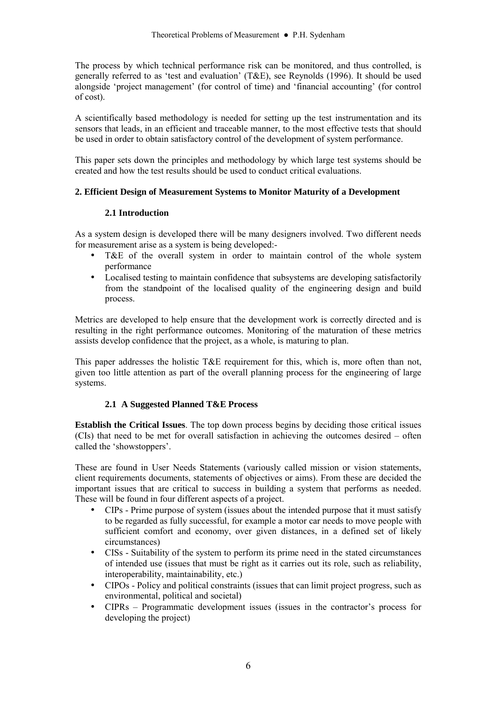The process by which technical performance risk can be monitored, and thus controlled, is generally referred to as 'test and evaluation' (T&E), see Reynolds (1996). It should be used alongside 'project management' (for control of time) and 'financial accounting' (for control of cost).

A scientifically based methodology is needed for setting up the test instrumentation and its sensors that leads, in an efficient and traceable manner, to the most effective tests that should be used in order to obtain satisfactory control of the development of system performance.

This paper sets down the principles and methodology by which large test systems should be created and how the test results should be used to conduct critical evaluations.

### **2. Efficient Design of Measurement Systems to Monitor Maturity of a Development**

### **2.1 Introduction**

As a system design is developed there will be many designers involved. Two different needs for measurement arise as a system is being developed:-

- T&E of the overall system in order to maintain control of the whole system performance
- Localised testing to maintain confidence that subsystems are developing satisfactorily from the standpoint of the localised quality of the engineering design and build process.

Metrics are developed to help ensure that the development work is correctly directed and is resulting in the right performance outcomes. Monitoring of the maturation of these metrics assists develop confidence that the project, as a whole, is maturing to plan.

This paper addresses the holistic T&E requirement for this, which is, more often than not, given too little attention as part of the overall planning process for the engineering of large systems.

## **2.1 A Suggested Planned T&E Process**

**Establish the Critical Issues**. The top down process begins by deciding those critical issues  $(CIs)$  that need to be met for overall satisfaction in achieving the outcomes desired  $-$  often called the 'showstoppers'.

These are found in User Needs Statements (variously called mission or vision statements, client requirements documents, statements of objectives or aims). From these are decided the important issues that are critical to success in building a system that performs as needed. These will be found in four different aspects of a project.

- CIPs Prime purpose of system (issues about the intended purpose that it must satisfy to be regarded as fully successful, for example a motor car needs to move people with sufficient comfort and economy, over given distances, in a defined set of likely circumstances)
- CISs Suitability of the system to perform its prime need in the stated circumstances of intended use (issues that must be right as it carries out its role, such as reliability, interoperability, maintainability, etc.)
- CIPOs Policy and political constraints (issues that can limit project progress, such as environmental, political and societal)
- $CIPRs -$  Programmatic development issues (issues in the contractor's process for developing the project)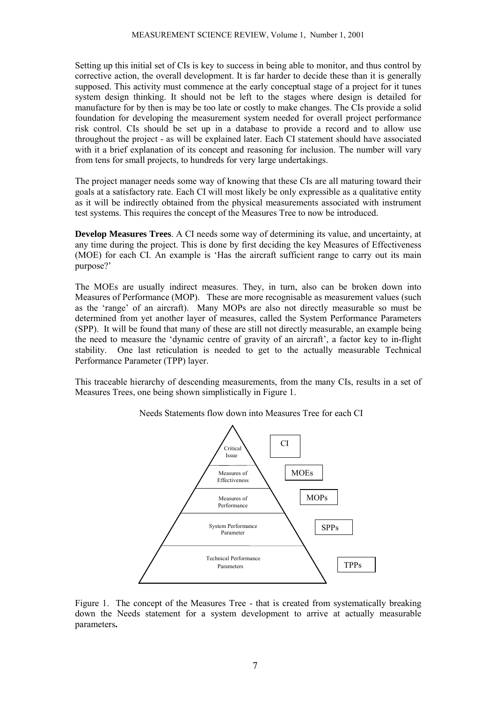Setting up this initial set of CIs is key to success in being able to monitor, and thus control by corrective action, the overall development. It is far harder to decide these than it is generally supposed. This activity must commence at the early conceptual stage of a project for it tunes system design thinking. It should not be left to the stages where design is detailed for manufacture for by then is may be too late or costly to make changes. The CIs provide a solid foundation for developing the measurement system needed for overall project performance risk control. CIs should be set up in a database to provide a record and to allow use throughout the project - as will be explained later. Each CI statement should have associated with it a brief explanation of its concept and reasoning for inclusion. The number will vary from tens for small projects, to hundreds for very large undertakings.

The project manager needs some way of knowing that these CIs are all maturing toward their goals at a satisfactory rate. Each CI will most likely be only expressible as a qualitative entity as it will be indirectly obtained from the physical measurements associated with instrument test systems. This requires the concept of the Measures Tree to now be introduced.

**Develop Measures Trees**. A CI needs some way of determining its value, and uncertainty, at any time during the project. This is done by first deciding the key Measures of Effectiveness (MOE) for each CI. An example is ëHas the aircraft sufficient range to carry out its main purpose?'

The MOEs are usually indirect measures. They, in turn, also can be broken down into Measures of Performance (MOP). These are more recognisable as measurement values (such as the ërangeí of an aircraft). Many MOPs are also not directly measurable so must be determined from yet another layer of measures, called the System Performance Parameters (SPP). It will be found that many of these are still not directly measurable, an example being the need to measure the 'dynamic centre of gravity of an aircraft', a factor key to in-flight stability. One last reticulation is needed to get to the actually measurable Technical Performance Parameter (TPP) layer.

This traceable hierarchy of descending measurements, from the many CIs, results in a set of Measures Trees, one being shown simplistically in Figure 1.



Needs Statements flow down into Measures Tree for each CI

Figure 1. The concept of the Measures Tree - that is created from systematically breaking down the Needs statement for a system development to arrive at actually measurable parameters**.**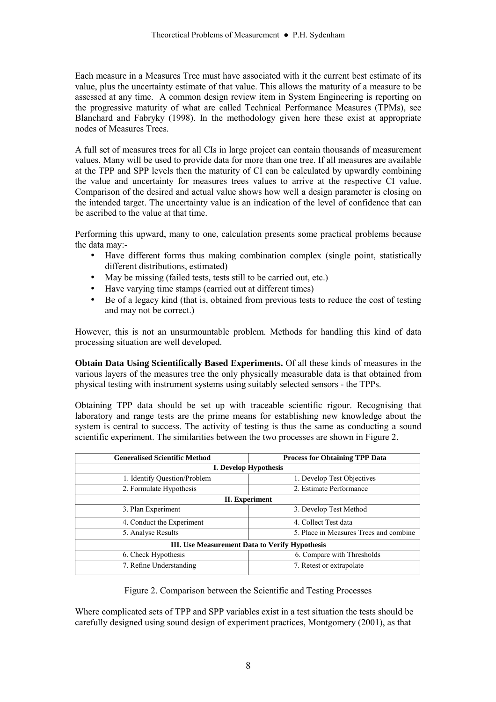Each measure in a Measures Tree must have associated with it the current best estimate of its value, plus the uncertainty estimate of that value. This allows the maturity of a measure to be assessed at any time. A common design review item in System Engineering is reporting on the progressive maturity of what are called Technical Performance Measures (TPMs), see Blanchard and Fabryky (1998). In the methodology given here these exist at appropriate nodes of Measures Trees.

A full set of measures trees for all CIs in large project can contain thousands of measurement values. Many will be used to provide data for more than one tree. If all measures are available at the TPP and SPP levels then the maturity of CI can be calculated by upwardly combining the value and uncertainty for measures trees values to arrive at the respective CI value. Comparison of the desired and actual value shows how well a design parameter is closing on the intended target. The uncertainty value is an indication of the level of confidence that can be ascribed to the value at that time.

Performing this upward, many to one, calculation presents some practical problems because the data may:-

- Have different forms thus making combination complex (single point, statistically different distributions, estimated)
- May be missing (failed tests, tests still to be carried out, etc.)
- Have varying time stamps (carried out at different times)
- Be of a legacy kind (that is, obtained from previous tests to reduce the cost of testing and may not be correct.)

However, this is not an unsurmountable problem. Methods for handling this kind of data processing situation are well developed.

**Obtain Data Using Scientifically Based Experiments.** Of all these kinds of measures in the various layers of the measures tree the only physically measurable data is that obtained from physical testing with instrument systems using suitably selected sensors - the TPPs.

Obtaining TPP data should be set up with traceable scientific rigour. Recognising that laboratory and range tests are the prime means for establishing new knowledge about the system is central to success. The activity of testing is thus the same as conducting a sound scientific experiment. The similarities between the two processes are shown in Figure 2.

| <b>Generalised Scientific Method</b>           | <b>Process for Obtaining TPP Data</b>  |
|------------------------------------------------|----------------------------------------|
| <b>I. Develop Hypothesis</b>                   |                                        |
| 1. Identify Question/Problem                   | 1. Develop Test Objectives             |
| 2. Formulate Hypothesis                        | 2. Estimate Performance                |
| II. Experiment                                 |                                        |
| 3. Plan Experiment                             | 3. Develop Test Method                 |
| 4. Conduct the Experiment                      | 4. Collect Test data                   |
| 5. Analyse Results                             | 5. Place in Measures Trees and combine |
| III. Use Measurement Data to Verify Hypothesis |                                        |
| 6. Check Hypothesis                            | 6. Compare with Thresholds             |
| 7. Refine Understanding                        | 7. Retest or extrapolate               |

Figure 2. Comparison between the Scientific and Testing Processes

Where complicated sets of TPP and SPP variables exist in a test situation the tests should be carefully designed using sound design of experiment practices, Montgomery (2001), as that